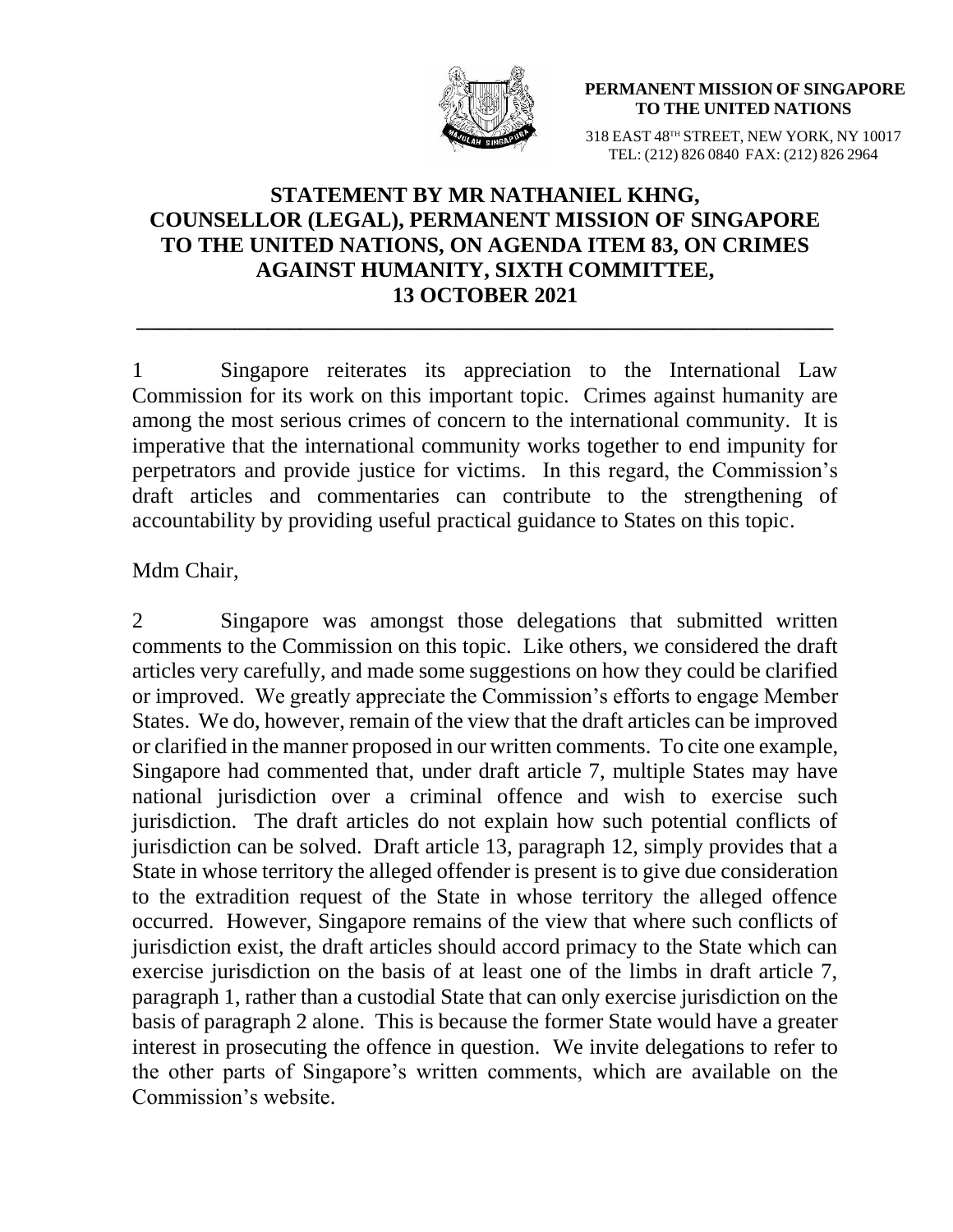

**PERMANENT MISSION OF SINGAPORE TO THE UNITED NATIONS**

318 EAST 48TH STREET, NEW YORK, NY 10017 TEL: (212) 826 0840 FAX: (212) 826 2964

## **STATEMENT BY MR NATHANIEL KHNG, COUNSELLOR (LEGAL), PERMANENT MISSION OF SINGAPORE TO THE UNITED NATIONS, ON AGENDA ITEM 83, ON CRIMES AGAINST HUMANITY, SIXTH COMMITTEE, 13 OCTOBER 2021**

**\_\_\_\_\_\_\_\_\_\_\_\_\_\_\_\_\_\_\_\_\_\_\_\_\_\_\_\_\_\_\_\_\_\_\_\_\_\_\_\_\_\_\_\_\_\_\_\_\_\_\_\_\_\_\_\_\_\_\_\_\_\_\_\_**

1 Singapore reiterates its appreciation to the International Law Commission for its work on this important topic. Crimes against humanity are among the most serious crimes of concern to the international community. It is imperative that the international community works together to end impunity for perpetrators and provide justice for victims. In this regard, the Commission's draft articles and commentaries can contribute to the strengthening of accountability by providing useful practical guidance to States on this topic.

## Mdm Chair,

2 Singapore was amongst those delegations that submitted written comments to the Commission on this topic. Like others, we considered the draft articles very carefully, and made some suggestions on how they could be clarified or improved. We greatly appreciate the Commission's efforts to engage Member States. We do, however, remain of the view that the draft articles can be improved or clarified in the manner proposed in our written comments. To cite one example, Singapore had commented that, under draft article 7, multiple States may have national jurisdiction over a criminal offence and wish to exercise such jurisdiction. The draft articles do not explain how such potential conflicts of jurisdiction can be solved. Draft article 13, paragraph 12, simply provides that a State in whose territory the alleged offender is present is to give due consideration to the extradition request of the State in whose territory the alleged offence occurred. However, Singapore remains of the view that where such conflicts of jurisdiction exist, the draft articles should accord primacy to the State which can exercise jurisdiction on the basis of at least one of the limbs in draft article 7, paragraph 1, rather than a custodial State that can only exercise jurisdiction on the basis of paragraph 2 alone. This is because the former State would have a greater interest in prosecuting the offence in question. We invite delegations to refer to the other parts of Singapore's written comments, which are available on the Commission's website.